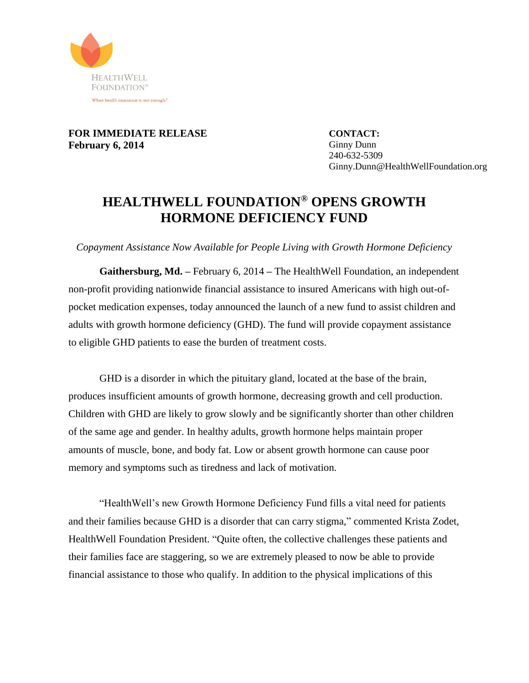

**FOR IMMEDIATE RELEASE February 6, 2014**

**CONTACT:** Ginny Dunn 240-632-5309 Ginny.Dunn@HealthWellFoundation.org

## **HEALTHWELL FOUNDATION® OPENS GROWTH HORMONE DEFICIENCY FUND**

*Copayment Assistance Now Available for People Living with Growth Hormone Deficiency*

**Gaithersburg, Md. –** February 6, 2014 **–** The HealthWell Foundation, an independent non-profit providing nationwide financial assistance to insured Americans with high out-ofpocket medication expenses, today announced the launch of a new fund to assist children and adults with growth hormone deficiency (GHD). The fund will provide copayment assistance to eligible GHD patients to ease the burden of treatment costs.

GHD is a disorder in which the pituitary gland, located at the base of the brain, produces insufficient amounts of growth hormone, decreasing growth and cell production. Children with GHD are likely to grow slowly and be significantly shorter than other children of the same age and gender. In healthy adults, growth hormone helps maintain proper amounts of muscle, bone, and body fat. Low or absent growth hormone can cause poor memory and symptoms such as tiredness and lack of motivation.

"HealthWell's new Growth Hormone Deficiency Fund fills a vital need for patients and their families because GHD is a disorder that can carry stigma," commented Krista Zodet, HealthWell Foundation President. "Quite often, the collective challenges these patients and their families face are staggering, so we are extremely pleased to now be able to provide financial assistance to those who qualify. In addition to the physical implications of this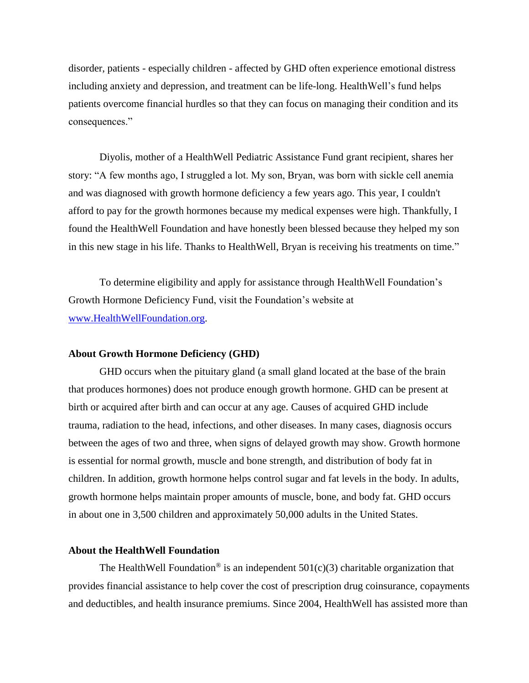disorder, patients - especially children - affected by GHD often experience emotional distress including anxiety and depression, and treatment can be life-long. HealthWell's fund helps patients overcome financial hurdles so that they can focus on managing their condition and its consequences."

Diyolis, mother of a HealthWell Pediatric Assistance Fund grant recipient, shares her story: "A few months ago, I struggled a lot. My son, Bryan, was born with sickle cell anemia and was diagnosed with growth hormone deficiency a few years ago. This year, I couldn't afford to pay for the growth hormones because my medical expenses were high. Thankfully, I found the HealthWell Foundation and have honestly been blessed because they helped my son in this new stage in his life. Thanks to HealthWell, Bryan is receiving his treatments on time."

To determine eligibility and apply for assistance through HealthWell Foundation's Growth Hormone Deficiency Fund, visit the Foundation's website at [www.HealthWellFoundation.org.](http://www.healthwellfoundation.org/)

## **About Growth Hormone Deficiency (GHD)**

GHD occurs when the pituitary gland (a small gland located at the base of the brain that produces hormones) does not produce enough growth hormone. GHD can be present at birth or acquired after birth and can occur at any age. Causes of acquired GHD include trauma, radiation to the head, infections, and other diseases. In many cases, diagnosis occurs between the ages of two and three, when signs of delayed growth may show. Growth hormone is essential for normal growth, muscle and bone strength, and distribution of body fat in children. In addition, growth hormone helps control sugar and fat levels in the body. In adults, growth hormone helps maintain proper amounts of muscle, bone, and body fat. GHD occurs in about one in 3,500 children and approximately 50,000 adults in the United States.

## **About the HealthWell Foundation**

The HealthWell Foundation<sup>®</sup> is an independent  $501(c)(3)$  charitable organization that provides financial assistance to help cover the cost of prescription drug coinsurance, copayments and deductibles, and health insurance premiums. Since 2004, HealthWell has assisted more than